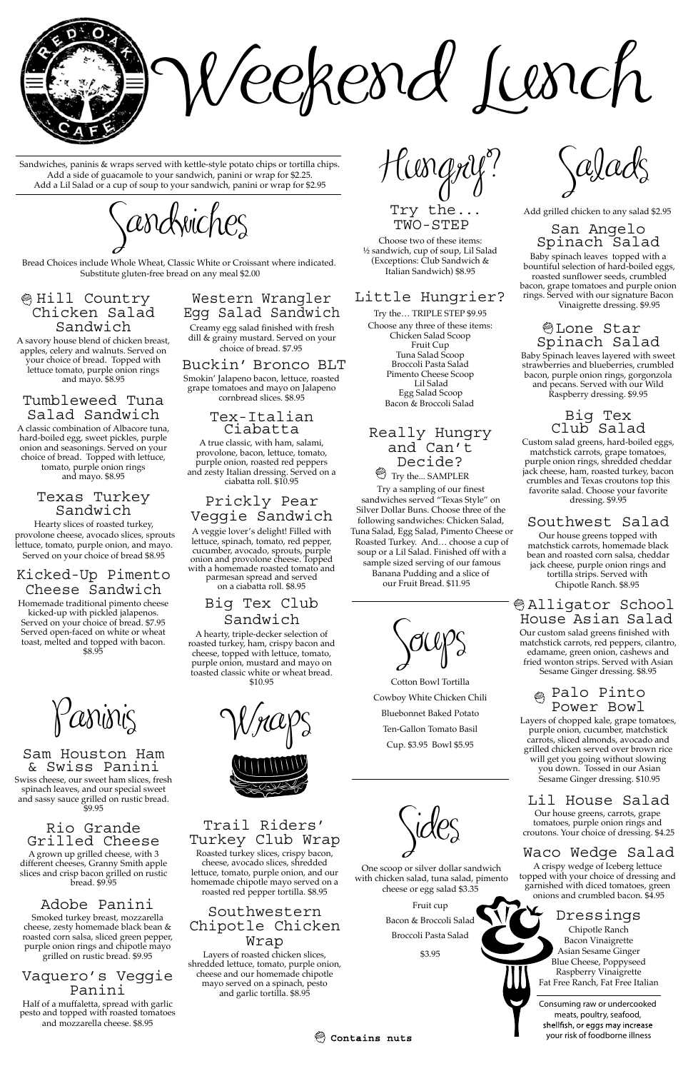Paninis

Sam Houston Ham & Swiss Panini Swiss cheese, our sweet ham slices, fresh

spinach leaves, and our special sweet and sassy sauce grilled on rustic bread. \$9.95

# Rio Grande Grilled Cheese

A grown up grilled cheese, with 3 different cheeses, Granny Smith apple slices and crisp bacon grilled on rustic bread. \$9.95

# Adobe Panini

Smoked turkey breast, mozzarella cheese, zesty homemade black bean & roasted corn salsa, sliced green pepper, purple onion rings and chipotle mayo grilled on rustic bread. \$9.95

#### Vaquero's Veggie Panini

Half of a muffaletta, spread with garlic pesto and topped with roasted tomatoes and mozzarella cheese. \$8.95



Hungry?

Choose two of these items: ½ sandwich, cup of soup, Lil Salad (Exceptions: Club Sandwich & Italian Sandwich) \$8.95

### Little Hungrier?

Try the… TRIPLE STEP \$9.95 Choose any three of these items: Chicken Salad Scoop Fruit Cup Tuna Salad Scoop Broccoli Pasta Salad Pimento Cheese Scoop Lil Salad Egg Salad Scoop Bacon & Broccoli Salad

#### Really Hungry and Can't Decide? Try the... SAMPLER

Try a sampling of our finest sandwiches served "Texas Style" on Silver Dollar Buns. Choose three of the following sandwiches: Chicken Salad, Tuna Salad, Egg Salad, Pimento Cheese or Roasted Turkey. And… choose a cup of soup or a Lil Salad. Finished off with a sample sized serving of our famous Banana Pudding and a slice of our Fruit Bread. \$11.95



Cotton Bowl Tortilla Cowboy White Chicken Chili Bluebonnet Baked Potato Ten-Gallon Tomato Basil Cup. \$3.95 Bowl \$5.95



One scoop or silver dollar sandwich with chicken salad, tuna salad, pimento cheese or egg salad \$3.35

> Fruit cup Bacon & Broccoli Salad Broccoli Pasta Salad

\$3.95

Salads

Try the ... Add grilled chicken to any salad \$2.95

# San Angelo<br>Spinach Salad

Baby spinach leaves topped with a bountiful selection of hard-boiled eggs, roasted sunflower seeds, crumbled bacon, grape tomatoes and purple onion rings. Served with our signature Bacon Vinaigrette dressing. \$9.95

# Lone Star Spinach Salad

Baby Spinach leaves layered with sweet strawberries and blueberries, crumbled bacon, purple onion rings, gorgonzola and pecans. Served with our Wild Raspberry dressing. \$9.95

#### Big Tex Club Salad

Custom salad greens, hard-boiled eggs, matchstick carrots, grape tomatoes, purple onion rings, shredded cheddar jack cheese, ham, roasted turkey, bacon crumbles and Texas croutons top this favorite salad. Choose your favorite dressing. \$9.95

# Southwest Salad

Our house greens topped with matchstick carrots, homemade black bean and roasted corn salsa, cheddar jack cheese, purple onion rings and tortilla strips. Served with Chipotle Ranch. \$8.95

## Alligator School House Asian Salad

Our custom salad greens finished with matchstick carrots, red peppers, cilantro, edamame, green onion, cashews and fried wonton strips. Served with Asian Sesame Ginger dressing. \$8.95

# Palo Pinto Power Bowl

Layers of chopped kale, grape tomatoes, purple onion, cucumber, matchstick carrots, sliced almonds, avocado and grilled chicken served over brown rice will get you going without slowing you down. Tossed in our Asian Sesame Ginger dressing. \$10.95

# Lil House Salad

Our house greens, carrots, grape tomatoes, purple onion rings and croutons. Your choice of dressing. \$4.25

# Waco Wedge Salad

A crispy wedge of Iceberg lettuce topped with your choice of dressing and garnished with diced tomatoes, green onions and crumbled bacon. \$4.95

# Dressings

Chipotle Ranch Bacon Vinaigrette Asian Sesame Ginger Blue Cheese, Poppyseed Raspberry Vinaigrette Fat Free Ranch, Fat Free Italian





# Trail Riders' Turkey Club Wrap

Roasted turkey slices, crispy bacon, cheese, avocado slices, shredded lettuce, tomato, purple onion, and our homemade chipotle mayo served on a roasted red pepper tortilla. \$8.95

## Southwestern Chipotle Chicken Wrap

Layers of roasted chicken slices, shredded lettuce, tomato, purple onion, cheese and our homemade chipotle mayo served on a spinach, pesto and garlic tortilla. \$8.95

TWO-STEP

Sandwiches, paninis & wraps served with kettle-style potato chips or tortilla chips. Add a side of guacamole to your sandwich, panini or wrap for \$2.25. Add a Lil Salad or a cup of soup to your sandwich, panini or wrap for \$2.95

 $\zeta$ andwiches

Consuming raw or undercooked meats, poultry, seafood, shellfish, or eggs may increase your risk of foodborne illness



# Western Wrangler Egg Salad Sandwich

Creamy egg salad finished with fresh dill & grainy mustard. Served on your choice of bread. \$7.95

#### Buckin' Bronco BLT

Smokin' Jalapeno bacon, lettuce, roasted grape tomatoes and mayo on Jalapeno cornbread slices. \$8.95

#### Tex-Italian Ciabatta

A true classic, with ham, salami, provolone, bacon, lettuce, tomato, purple onion, roasted red peppers and zesty Italian dressing. Served on a ciabatta roll. \$10.95

# Prickly Pear Veggie Sandwich

A veggie lover's delight! Filled with lettuce, spinach, tomato, red pepper, cucumber, avocado, sprouts, purple onion and provolone cheese. Topped with a homemade roasted tomato and parmesan spread and served on a ciabatta roll. \$8.95

# Big Tex Club Sandwich

A hearty, triple-decker selection of roasted turkey, ham, crispy bacon and cheese, topped with lettuce, tomato, purple onion, mustard and mayo on toasted classic white or wheat bread. \$10.95

#### Hill Country Chicken Salad Sandwich

A savory house blend of chicken breast, apples, celery and walnuts. Served on your choice of bread. Topped with lettuce tomato, purple onion rings and mayo. \$8.95

#### Tumbleweed Tuna Salad Sandwich

A classic combination of Albacore tuna, hard-boiled egg, sweet pickles, purple onion and seasonings. Served on your choice of bread. Topped with lettuce, tomato, purple onion rings and mayo. \$8.95

#### Texas Turkey Sandwich

#### Kicked-Up Pimento Cheese Sandwich

Homemade traditional pimento cheese kicked-up with pickled jalapenos. Served on your choice of bread. \$7.95 Served open-faced on white or wheat toast, melted and topped with bacon. \$8.95

Hearty slices of roasted turkey, provolone cheese, avocado slices, sprouts lettuce, tomato, purple onion, and mayo. Served on your choice of bread \$8.95

Bread Choices include Whole Wheat, Classic White or Croissant where indicated. Substitute gluten-free bread on any meal \$2.00